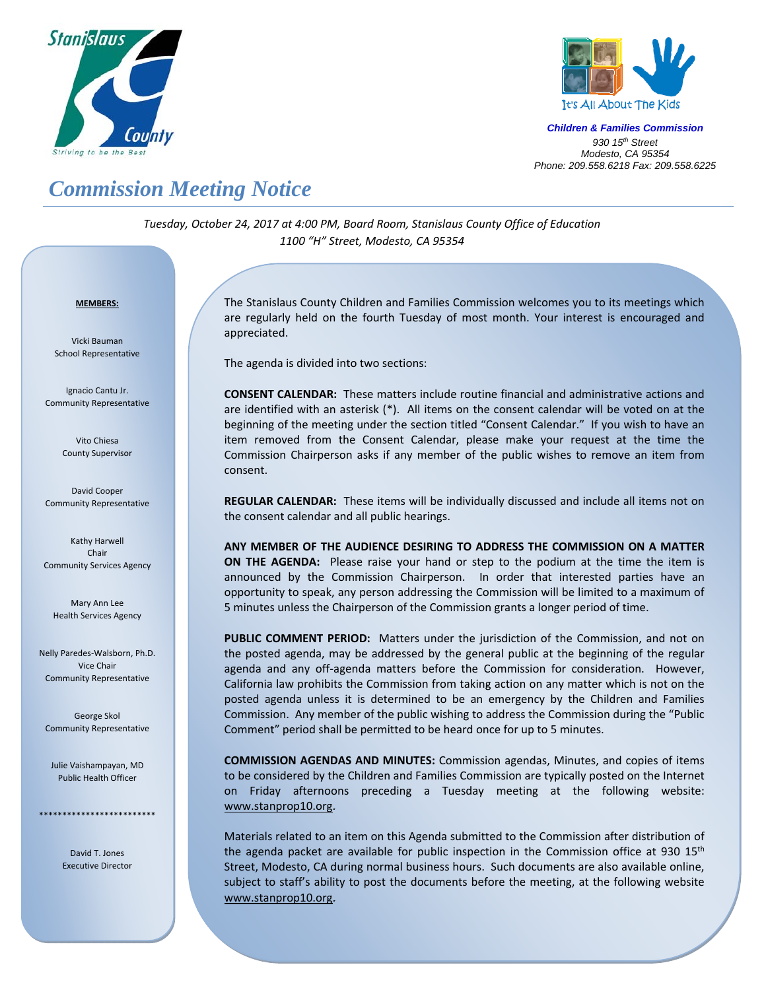



*Children & Families Commission 930 15th Street Modesto, CA 95354 Phone: 209.558.6218 Fax: 209.558.6225*

## *Commission Meeting Notice*

*Tuesday, October 24, 2017 at 4:00 PM, Board Room, Stanislaus County Office of Education 1100 "H" Street, Modesto, CA 95354*

## <sup>U</sup>**MEMBERS:**

Vicki Bauman School Representative

Ignacio Cantu Jr. Community Representative

> Vito Chiesa County Supervisor

David Cooper Community Representative

Kathy Harwell Chair Community Services Agency

Mary Ann Lee Health Services Agency

Nelly Paredes‐Walsborn, Ph.D. Vice Chair Community Representative

George Skol Community Representative

Julie Vaishampayan, MD Public Health Officer

\*\*\*\*\*\*\*\*\*\*\*\*\*\*\*\*\*\*\*\*\*\*\*\*\*

David T. Jones Executive Director

Į

The Stanislaus County Children and Families Commission welcomes you to its meetings which are regularly held on the fourth Tuesday of most month. Your interest is encouraged and appreciated.

The agenda is divided into two sections:

**CONSENT CALENDAR:** These matters include routine financial and administrative actions and are identified with an asterisk (\*). All items on the consent calendar will be voted on at the beginning of the meeting under the section titled "Consent Calendar." If you wish to have an item removed from the Consent Calendar, please make your request at the time the Commission Chairperson asks if any member of the public wishes to remove an item from consent.

**REGULAR CALENDAR:** These items will be individually discussed and include all items not on the consent calendar and all public hearings.

**ANY MEMBER OF THE AUDIENCE DESIRING TO ADDRESS THE COMMISSION ON A MATTER ON THE AGENDA:** Please raise your hand or step to the podium at the time the item is announced by the Commission Chairperson. In order that interested parties have an opportunity to speak, any person addressing the Commission will be limited to a maximum of 5 minutes unless the Chairperson of the Commission grants a longer period of time.

PUBLIC COMMENT PERIOD: Matters under the jurisdiction of the Commission, and not on the posted agenda, may be addressed by the general public at the beginning of the regular agenda and any off-agenda matters before the Commission for consideration. However, California law prohibits the Commission from taking action on any matter which is not on the posted agenda unless it is determined to be an emergency by the Children and Families Commission. Any member of the public wishing to address the Commission during the "Public Comment" period shall be permitted to be heard once for up to 5 minutes.

**COMMISSION AGENDAS AND MINUTES:** Commission agendas, Minutes, and copies of items to be considered by the Children and Families Commission are typically posted on the Internet on Friday afternoons preceding a Tuesday meeting at the following website: www.stanprop10.org.

Materials related to an item on this Agenda submitted to the Commission after distribution of the agenda packet are available for public inspection in the Commission office at 930  $15<sup>th</sup>$ Street, Modesto, CA during normal business hours. Such documents are also available online, subject to staff's ability to post the documents before the meeting, at the following website www.stanprop10.org.